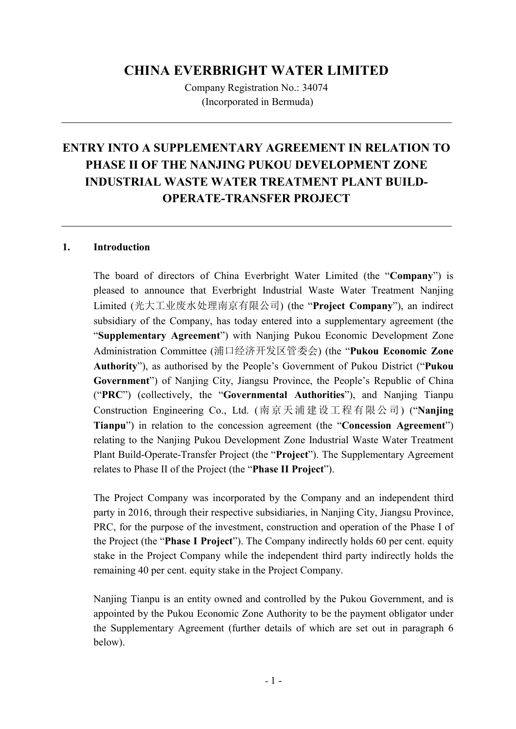# CHINA EVERBRIGHT WATER LIMITED

Company Registration No.: 34074 (Incorporated in Bermuda)

# ENTRY INTO A SUPPLEMENTARY AGREEMENT IN RELATION TO PHASE II OF THE NANJING PUKOU DEVELOPMENT ZONE INDUSTRIAL WASTE WATER TREATMENT PLANT BUILD-OPERATE-TRANSFER PROJECT

### 1. Introduction

The board of directors of China Everbright Water Limited (the "Company") is pleased to announce that Everbright Industrial Waste Water Treatment Nanjing Limited (光大工业废水处理南京有限公司) (the "Project Company"), an indirect subsidiary of the Company, has today entered into a supplementary agreement (the "Supplementary Agreement") with Nanjing Pukou Economic Development Zone Administration Committee (浦口经济开发区管委会) (the "Pukou Economic Zone Authority"), as authorised by the People's Government of Pukou District ("Pukou Government") of Nanjing City, Jiangsu Province, the People's Republic of China ("PRC") (collectively, the "Governmental Authorities"), and Nanjing Tianpu Construction Engineering Co., Ltd. (南京天浦建设工程有限公司) ("Nanjing Tianpu") in relation to the concession agreement (the "Concession Agreement") relating to the Nanjing Pukou Development Zone Industrial Waste Water Treatment Plant Build-Operate-Transfer Project (the "Project"). The Supplementary Agreement relates to Phase II of the Project (the "Phase II Project").

The Project Company was incorporated by the Company and an independent third party in 2016, through their respective subsidiaries, in Nanjing City, Jiangsu Province, PRC, for the purpose of the investment, construction and operation of the Phase I of the Project (the "Phase I Project"). The Company indirectly holds 60 per cent. equity stake in the Project Company while the independent third party indirectly holds the remaining 40 per cent. equity stake in the Project Company.

Nanjing Tianpu is an entity owned and controlled by the Pukou Government, and is appointed by the Pukou Economic Zone Authority to be the payment obligator under the Supplementary Agreement (further details of which are set out in paragraph 6 below).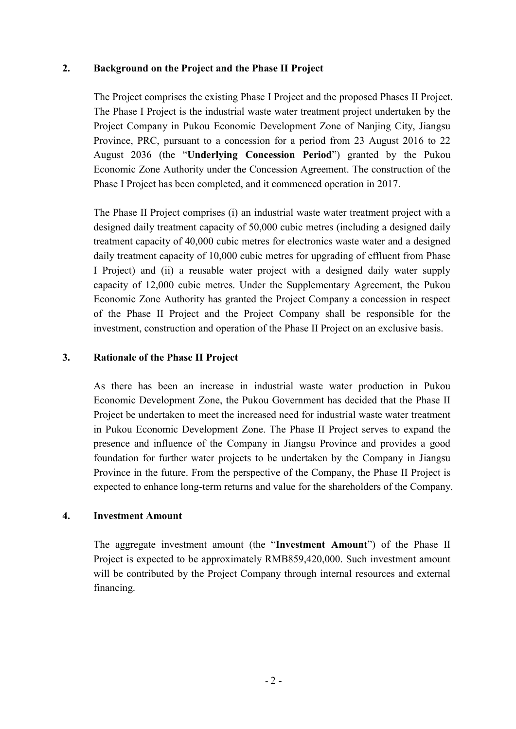### 2. Background on the Project and the Phase II Project

The Project comprises the existing Phase I Project and the proposed Phases II Project. The Phase I Project is the industrial waste water treatment project undertaken by the Project Company in Pukou Economic Development Zone of Nanjing City, Jiangsu Province, PRC, pursuant to a concession for a period from 23 August 2016 to 22 August 2036 (the "Underlying Concession Period") granted by the Pukou Economic Zone Authority under the Concession Agreement. The construction of the Phase I Project has been completed, and it commenced operation in 2017.

The Phase II Project comprises (i) an industrial waste water treatment project with a designed daily treatment capacity of 50,000 cubic metres (including a designed daily treatment capacity of 40,000 cubic metres for electronics waste water and a designed daily treatment capacity of 10,000 cubic metres for upgrading of effluent from Phase I Project) and (ii) a reusable water project with a designed daily water supply capacity of 12,000 cubic metres. Under the Supplementary Agreement, the Pukou Economic Zone Authority has granted the Project Company a concession in respect of the Phase II Project and the Project Company shall be responsible for the investment, construction and operation of the Phase II Project on an exclusive basis.

### 3. Rationale of the Phase II Project

As there has been an increase in industrial waste water production in Pukou Economic Development Zone, the Pukou Government has decided that the Phase II Project be undertaken to meet the increased need for industrial waste water treatment in Pukou Economic Development Zone. The Phase II Project serves to expand the presence and influence of the Company in Jiangsu Province and provides a good foundation for further water projects to be undertaken by the Company in Jiangsu Province in the future. From the perspective of the Company, the Phase II Project is expected to enhance long-term returns and value for the shareholders of the Company.

#### 4. Investment Amount

The aggregate investment amount (the "Investment Amount") of the Phase II Project is expected to be approximately RMB859,420,000. Such investment amount will be contributed by the Project Company through internal resources and external financing.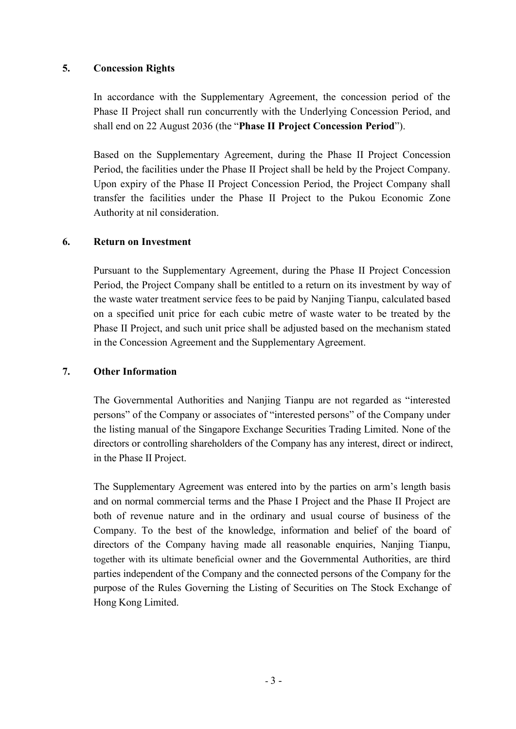## 5. Concession Rights

In accordance with the Supplementary Agreement, the concession period of the Phase II Project shall run concurrently with the Underlying Concession Period, and shall end on 22 August 2036 (the "Phase II Project Concession Period").

Based on the Supplementary Agreement, during the Phase II Project Concession Period, the facilities under the Phase II Project shall be held by the Project Company. Upon expiry of the Phase II Project Concession Period, the Project Company shall transfer the facilities under the Phase II Project to the Pukou Economic Zone Authority at nil consideration.

### 6. Return on Investment

Pursuant to the Supplementary Agreement, during the Phase II Project Concession Period, the Project Company shall be entitled to a return on its investment by way of the waste water treatment service fees to be paid by Nanjing Tianpu, calculated based on a specified unit price for each cubic metre of waste water to be treated by the Phase II Project, and such unit price shall be adjusted based on the mechanism stated in the Concession Agreement and the Supplementary Agreement.

#### 7. Other Information

The Governmental Authorities and Nanjing Tianpu are not regarded as "interested persons" of the Company or associates of "interested persons" of the Company under the listing manual of the Singapore Exchange Securities Trading Limited. None of the directors or controlling shareholders of the Company has any interest, direct or indirect, in the Phase II Project.

The Supplementary Agreement was entered into by the parties on arm's length basis and on normal commercial terms and the Phase I Project and the Phase II Project are both of revenue nature and in the ordinary and usual course of business of the Company. To the best of the knowledge, information and belief of the board of directors of the Company having made all reasonable enquiries, Nanjing Tianpu, together with its ultimate beneficial owner and the Governmental Authorities, are third parties independent of the Company and the connected persons of the Company for the purpose of the Rules Governing the Listing of Securities on The Stock Exchange of Hong Kong Limited.